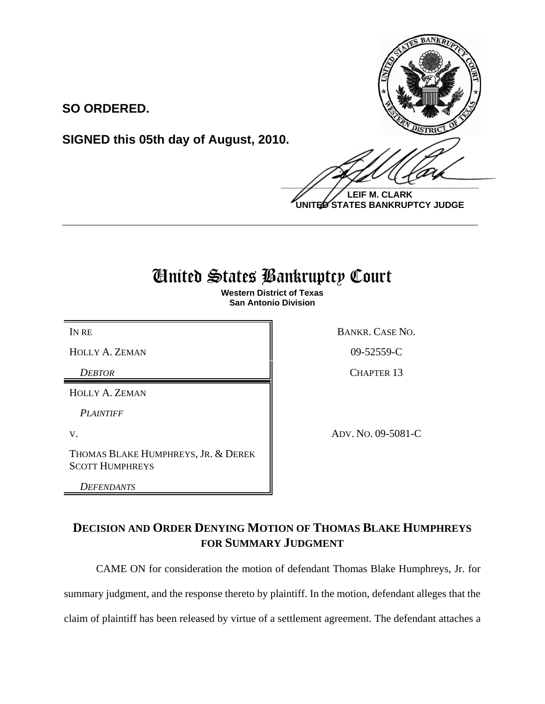**SO ORDERED.**

**SIGNED this 05th day of August, 2010.**

 $\frac{1}{2}$ 

**LEIF M. CLARK UNITED STATES BANKRUPTCY JUDGE**

## United States Bankruptcy Court

**\_\_\_\_\_\_\_\_\_\_\_\_\_\_\_\_\_\_\_\_\_\_\_\_\_\_\_\_\_\_\_\_\_\_\_\_\_\_\_\_\_\_\_\_\_\_\_\_\_\_\_\_\_\_\_\_\_\_\_\_**

**Western District of Texas San Antonio Division**

 $HOLLY A. ZEMAN$  09-52559-C

HOLLY A. ZEMAN

*PLAINTIFF*

THOMAS BLAKE HUMPHREYS, JR. & DEREK SCOTT HUMPHREYS

*DEFENDANTS*

IN RE BANKR. CASE NO.

*DEBTOR* CHAPTER 13

V. ADV. NO. 09-5081-C

**DECISION AND ORDER DENYING MOTION OF THOMAS BLAKE HUMPHREYS FOR SUMMARY JUDGMENT**

CAME ON for consideration the motion of defendant Thomas Blake Humphreys, Jr. for summary judgment, and the response thereto by plaintiff. In the motion, defendant alleges that the claim of plaintiff has been released by virtue of a settlement agreement. The defendant attaches a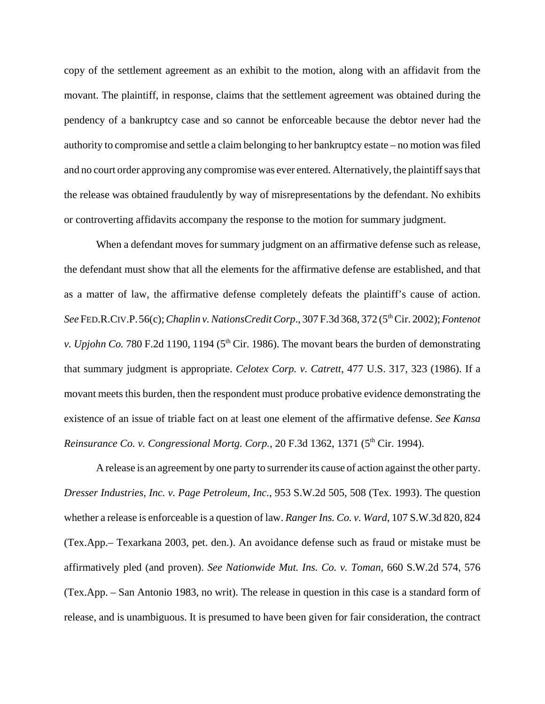copy of the settlement agreement as an exhibit to the motion, along with an affidavit from the movant. The plaintiff, in response, claims that the settlement agreement was obtained during the pendency of a bankruptcy case and so cannot be enforceable because the debtor never had the authority to compromise and settle a claim belonging to her bankruptcy estate – no motion was filed and no court order approving any compromise was ever entered. Alternatively, the plaintiff says that the release was obtained fraudulently by way of misrepresentations by the defendant. No exhibits or controverting affidavits accompany the response to the motion for summary judgment.

When a defendant moves for summary judgment on an affirmative defense such as release, the defendant must show that all the elements for the affirmative defense are established, and that as a matter of law, the affirmative defense completely defeats the plaintiff's cause of action. See FED.R.CIV.P.56(c); *Chaplin v. NationsCredit Corp.*, 307 F.3d 368, 372 (5<sup>th</sup> Cir. 2002); *Fontenot v. Upjohn Co.* 780 F.2d 1190, 1194 ( $5<sup>th</sup>$  Cir. 1986). The movant bears the burden of demonstrating that summary judgment is appropriate. *Celotex Corp. v. Catrett*, 477 U.S. 317, 323 (1986). If a movant meets this burden, then the respondent must produce probative evidence demonstrating the existence of an issue of triable fact on at least one element of the affirmative defense. *See Kansa Reinsurance Co. v. Congressional Mortg. Corp.*, 20 F.3d 1362, 1371 (5<sup>th</sup> Cir. 1994).

A release is an agreement by one party to surrender its cause of action against the other party. *Dresser Industries, Inc. v. Page Petroleum, Inc.*, 953 S.W.2d 505, 508 (Tex. 1993). The question whether a release is enforceable is a question of law. *Ranger Ins. Co. v. Ward*, 107 S.W.3d 820, 824 (Tex.App.– Texarkana 2003, pet. den.). An avoidance defense such as fraud or mistake must be affirmatively pled (and proven). *See Nationwide Mut. Ins. Co. v. Toman*, 660 S.W.2d 574, 576 (Tex.App. – San Antonio 1983, no writ). The release in question in this case is a standard form of release, and is unambiguous. It is presumed to have been given for fair consideration, the contract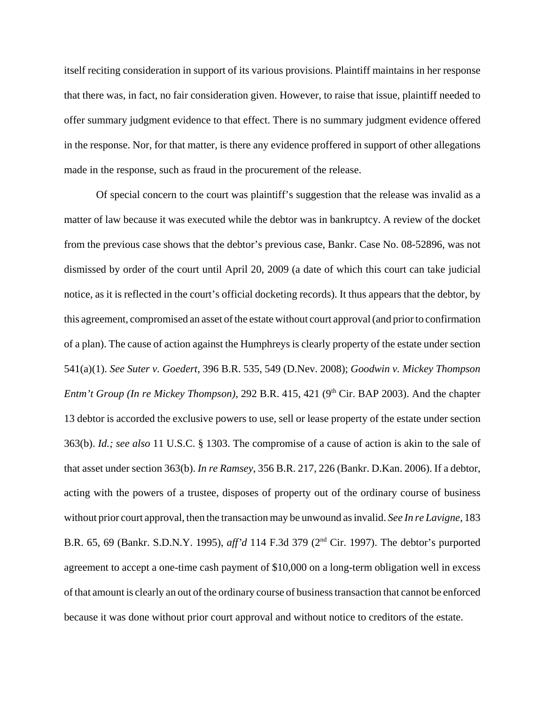itself reciting consideration in support of its various provisions. Plaintiff maintains in her response that there was, in fact, no fair consideration given. However, to raise that issue, plaintiff needed to offer summary judgment evidence to that effect. There is no summary judgment evidence offered in the response. Nor, for that matter, is there any evidence proffered in support of other allegations made in the response, such as fraud in the procurement of the release.

Of special concern to the court was plaintiff's suggestion that the release was invalid as a matter of law because it was executed while the debtor was in bankruptcy. A review of the docket from the previous case shows that the debtor's previous case, Bankr. Case No. 08-52896, was not dismissed by order of the court until April 20, 2009 (a date of which this court can take judicial notice, as it is reflected in the court's official docketing records). It thus appears that the debtor, by this agreement, compromised an asset of the estate without court approval (and prior to confirmation of a plan). The cause of action against the Humphreys is clearly property of the estate under section 541(a)(1). *See Suter v. Goedert*, 396 B.R. 535, 549 (D.Nev. 2008); *Goodwin v. Mickey Thompson Entm't Group (In re Mickey Thompson)*, 292 B.R. 415, 421 (9<sup>th</sup> Cir. BAP 2003). And the chapter 13 debtor is accorded the exclusive powers to use, sell or lease property of the estate under section 363(b). *Id.; see also* 11 U.S.C. § 1303. The compromise of a cause of action is akin to the sale of that asset under section 363(b). *In re Ramsey*, 356 B.R. 217, 226 (Bankr. D.Kan. 2006). If a debtor, acting with the powers of a trustee, disposes of property out of the ordinary course of business without prior court approval, then the transaction may be unwound as invalid. *See In re Lavigne*, 183 B.R. 65, 69 (Bankr. S.D.N.Y. 1995), *aff'd* 114 F.3d 379 (2nd Cir. 1997). The debtor's purported agreement to accept a one-time cash payment of \$10,000 on a long-term obligation well in excess of that amount is clearly an out of the ordinary course of business transaction that cannot be enforced because it was done without prior court approval and without notice to creditors of the estate.